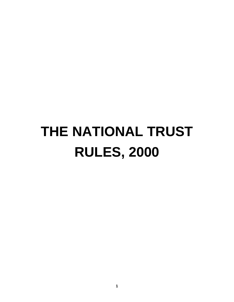# **THE NATIONAL TRUST RULES, 2000**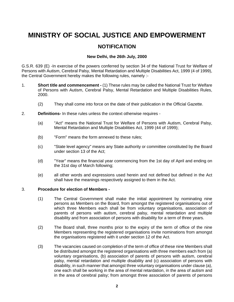## **MINISTRY OF SOCIAL JUSTICE AND EMPOWERMENT**

### **NOTIFICATION**

#### **New Delhi, the 26th July, 2000**

G.S.R. 639 (E) -In exercise of the powers conferred by section 34 of the National Trust for Welfare of Persons with Autism, Cerebral Palsy, Mental Retardation and Multiple Disabilities Act, 1999 (4 of 1999), the Central Government hereby makes the following rules, namely :-

- 1. **Short title and commencement -** (1) These rules may be called the National Trust for Welfare of Persons with Autism, Cerebral Palsy, Mental Retardation and Multiple Disabilities Rules, 2000.
	- (2) They shall come into force on the date of their publication in the Official Gazette.
- 2. **Definitions-** In these rules unless the context otherwise requires
	- (a) "Act" means the National Trust for Welfare of Persons with Autism, Cerebral Palsy, Mental Retardation and Multiple Disabilities Act, 1999 (44 of 1999);
	- (b) "Form" means the form annexed to these rules;
	- (c) "State level agency" means any State authority or committee constituted by the Board under section 13 of the Act;
	- (d) "Year" means the financial year commencing from the 1st day of April and ending on the 31st day of March following;
	- (e) all other words and expressions used herein and not defined but defined in the Act shall have the meanings respectively assigned to them in the Act.

#### 3. **Procedure for election of Members -**

- (1) The Central Government shall make the initial appointment by nominating nine persons as Members on the Board, from amongst the registered organisations out of which three Members each shall be from voluntary organisations, association of parents of persons with autism, cerebral palsy, mental retardation and multiple disability and from association of persons with disability for a term of three years.
- (2) The Board shall, three months prior to the expiry of the term of office of the nine Members representing the registered organisations invite nominations from amongst the organisations registered with it under section 12 of the Act.
- (3) The vacancies caused on completion of the term of office of these nine Members shall be distributed amongst the registered organisations with three members each from (a) voluntary organisations, (b) association of parents of persons with autism, cerebral palsy, mental retardation and multiple disability and (c) association of persons with disability, in such manner that amongst three voluntary organisations under clause (a), one each shall be working in the area of mental retardation, in the area of autism and in the area of cerebral palsy; from amongst three association of parents of persons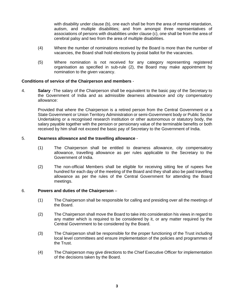with disability under clause (b), one each shall be from the area of mental retardation, autism, and multiple disabilities; and from amongst three representatives of associations of persons with disabilities under clause (c), one shall be from the area of cerebral palsy and two from the area of multiple disabilities.

- (4) Where the number of nominations received by the Board is more than the number of vacancies, the Board shall hold elections by postal ballot for the vacancies.
- (5) Where nomination is not received for any category representing registered organisation as specified in sub-rule (2), the Board may make appointment by nomination to the given vacancy.

#### **Conditions of service of the Chairperson and members** -

4. **Salary** -The salary of the Chairperson shall be equivalent to the basic pay of the Secretary to the Government of India and as admissible dearness allowance and city compensatory allowance:

 Provided that where the Chairperson is a retired person from the Central Government or a State Government or Union Territory Administration or semi-Government body or Public Sector Undertaking or a recognised research institution or other autonomous or statutory body, the salary payable together with the pension or pensionary value of the terminable benefits or both received by him shall not exceed the basic pay of Secretary to the Government of India.

#### 5. **Dearness allowance and the travelling allowance** -

- (1) The Chairperson shall be entitled to dearness allowance, city compensatory allowance, travelling allowance as per rules applicable to the Secretary to the Government of India.
- (2) The non-official Members shall be eligible for receiving sitting fee of rupees five hundred for each day of the meeting of the Board and they shall also be paid travelling allowance as per the rules of the Central Government for attending the Board meetings.

#### 6. **Powers and duties of the Chairperson** –

- (1) The Chairperson shall be responsible for calling and presiding over all the meetings of the Board.
- (2) The Chairperson shall move the Board to take into consideration his views in regard to any matter which is required to be considered by it, or any matter required by the Central Government to be considered by the Board.
- (3) The Chairperson shall be responsible for the proper functioning of the Trust including local level committees and ensure implementation of the policies and programmes of the Trust.
- (4) The Chairperson may give directions to the Chief Executive Officer for implementation of the decisions taken by the Board.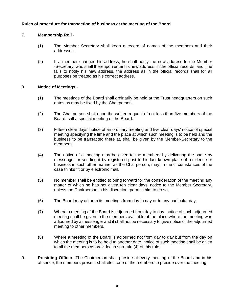#### **Rules of procedure for transaction of business at the meeting of the Board**

#### 7. **Membership Roll** -

- (1) The Member Secretary shall keep a record of names of the members and their addresses.
- (2) If a member changes his address, he shall notify the new address to the Member -Secretary, who shall thereupon enter his new address, in the official records, and if he fails to notify his new address, the address as in the official records shall for all purposes be treated as his correct address.

#### 8. **Notice of Meetings** -

- (1) The meetings of the Board shall ordinarily be held at the Trust headquarters on such dates as may be fixed by the Chairperson.
- (2) The Chairperson shall upon the written request of not less than five members of the Board, call a special meeting of the Board.
- (3) Fifteen clear days' notice of an ordinary meeting and five clear days' notice of special meeting specifying the time and the place at which such meeting is to be held and the business to be transacted there at, shall be given by the Member-Secretary to the members.
- (4) The notice of a meeting may be given to the members by delivering the same by messenger or sending it by registered post to his last known place of residence or business in such other manner as the Chairperson, may, in the circumstances of the case thinks fit or by electronic mail.
- (5) No member shall be entitled to bring forward for the consideration of the meeting any matter of which he has not given ten clear days' notice to the Member Secretary, unless the Chairperson in his discretion, permits him to do so,
- (6) The Board may adjourn its meetings from day to day or to any particular day.
- (7) Where a meeting of the Board is adjourned from day to day, notice of such adjourned meeting shall be given to the members available at the place where the meeting was adjourned by a messenger and it shall not be necessary to give notice of the adjourned meeting to other members.
- (8) Where a meeting of the Board is adjourned not from day to day but from the day on which the meeting is to be held to another date, notice of such meeting shall be given to all the members as provided in sub-rule (4) of this rule.
- 9. **Presiding Officer** -The Chairperson shall preside at every meeting of the Board and in his absence, the members present shall elect one of the members to preside over the meeting.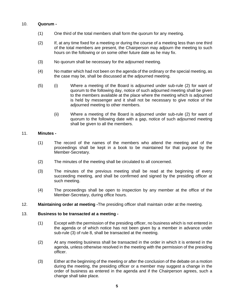#### 10. **Quorum -**

- (1) One third of the total members shall form the quorum for any meeting.
- (2) If, at any time fixed for a meeting or during the course of a meeting less than one third of the total members are present, the Chairperson may adjourn the meeting to such hours on the following or on some other future date as he may fix.
- (3) No quorum shall be necessary for the adjourned meeting.
- (4) No matter which had not been on the agenda of the ordinary or the special meeting, as the case may be, shall be discussed at the adjourned meeting.
- (5) (i) Where a meeting of the Board is adjourned under sub-rule (2) for want of quorum to the following day, notice of such adjourned meeting shall be given to the members available at the place where the meeting which is adjourned is held by messenger and it shall not be necessary to give notice of the adjourned meeting to other members.
	- (ii) Where a meeting of the Board is adjourned under sub-rule (2) for want of quorum to the following date with a gap, notice of such adjourned meeting shall be given to all the members.

#### 11. **Minutes -**

- (1) The record of the names of the members who attend the meeting and of the proceedings shall be kept in a book to be maintained for that purpose by the Member-Secretary.
- (2) The minutes of the meeting shall be circulated to all concerned.
- (3) The minutes of the previous meeting shall be read at the beginning of every succeeding meeting, and shall be confirmed and signed by the presiding officer at such meeting.
- (4) The proceedings shall be open to inspection by any member at the office of the Member-Secretary, during office hours.
- 12. **Maintaining order at meeting -**The presiding officer shall maintain order at the meeting.

#### 13. **Business to be transacted at a meeting -**

- (1) Except with the permission of the presiding officer, no business which is not entered in the agenda or of which notice has not been given by a member in advance under sub-rule (3) of rule 8, shall be transacted at the meeting.
- (2) At any meeting business shall be transacted in the order in which it is entered in the agenda, unless otherwise resolved in the meeting with the permission of the presiding officer.
- (3) Either at the beginning of the meeting or after the conclusion of the debate on a motion during the meeting, the presiding officer or a member may suggest a change in the order of business as entered in the agenda and if the Chairperson agrees, such a change shall take place.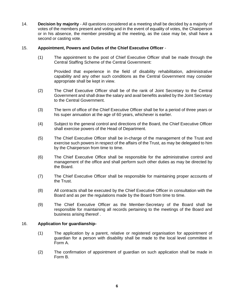14. **Decision by majority** - All questions considered at a meeting shall be decided by a majority of votes of the members present and voting and in the event of equality of votes, the Chairperson or in his absence, the member presiding at the meeting, as the case may be, shall have a second or casting vote.

#### 15. **Appointment, Powers and Duties of the Chief Executive Officer** -

 (1) The appointment to the post of Chief Executive Officer shall be made through the Central Staffing Scheme of the Central Government:

 Provided that experience in the field of disability rehabilitation, administrative capability and any other such conditions as the Central Government may consider appropriate shall be kept in view.

- (2) The Chief Executive Officer shall be of the rank of Joint Secretary to the Central Government and shall draw the salary and avail benefits availed by the Joint Secretary to the Central Government.
- (3) The term of office of the Chief Executive Officer shall be for a period of three years or his super annuation at the age of 60 years, whichever is earlier.
- (4) Subject to the general control and directions of the Board, the Chief Executive Officer shall exercise powers of the Head of Department.
- (5) The Chief Executive Officer shall be in-charge of the management of the Trust and exercise such powers in respect of the affairs of the Trust, as may be delegated to him by the Chairperson from time to time.
- (6) The Chief Executive Office shall be responsible for the administrative control and management of the office and shall perform such other duties as may be directed by the Board.
- (7) The Chief Executive Officer shall be responsible for maintaining proper accounts of the Trust.
- (8) All contracts shall be executed by the Chief Executive Officer in consultation with the Board and as per the regulations made by the Board from time to time.
- (9) The Chief Executive Officer as the Member-Secretary of the Board shall be responsible for maintaining all records pertaining to the meetings of the Board and business arising thereof .

#### 16. **Application for guardianship-**

- (1) The application by a parent, relative or registered organisation for appointment of guardian for a person with disability shall be made to the local level committee in Form A.
- (2) The confirmation of appointment of guardian on such application shall be made in Form B.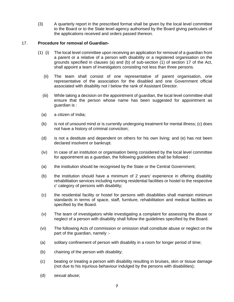(3) A quarterly report in the prescribed format shall be given by the local level committee to the Board or to the State level agency authorised by the Board giving particulars of the applications received and orders passed thereon.

#### 17. **Procedure for removal of Guardian-**

- (1) (i) The local level committee upon receiving an application for removal of a guardian from a parent or a relative of a person with disability or a registered organisation on the grounds specified in clauses (a) and (b) of sub-section (1) of section 17 of the Act, shall appoint a team of investigators consisting not less than three persons.
	- (ii) The team shall consist of one representative of parent organisation, one representative of the association for the disabled and one Government official associated with disability not I below the rank of Assistant Director.
	- (iii) While taking a decision on the appointment of guardian, the local level committee shall ensure that the person whose name has been suggested for appointment as guardian is :
	- (a) a citizen of India;
	- (b) is not of unsound mind or is currently undergoing treatment for mental illness; (c) does not have a history of criminal conviction;
	- (d) is not a destitute and dependent on others for his own living; and (e) has not been declared insolvent or bankrupt.
	- (iv) In case of an institution or organisation being considered by the local level committee for appointment as a guardian, the following guidelines shall be followed :
	- (a) the institution should be recognised by the State or the Central Government;
	- (b) the institution should have a minimum of 2 years' experience in offering disability rehabilitation services including running residential facilities or hostel to the respective c' category of persons with disability;
	- (c) the residential facility or hostel for persons with disabilities shall maintain minimum standards in terms of space, staff, furniture, rehabilitation and medical facilities as specified by the Board.
	- (v) The team of investigators while investigating a complaint for assessing the abuse or neglect of a person with disability shall follow the guidelines specified by the Board.
	- (vi) The following Acts of commission or omission shall constitute abuse or neglect on the part of the guardian, namely :-
- (a) solitary confinement of person with disability in a room for longer period of time;
- (b) chaining of the person with disability;
- (c) beating or treating a person with disability resulting in bruises, skin or tissue damage (not due to his injurious behaviour indulged by the persons with disabilities);
- (d) sexual abuse;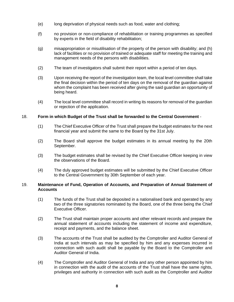- (e) long deprivation of physical needs such as food, water and clothing;
- (f) no provision or non-compliance of rehabilitation or training programmes as specified by experts in the field of disability rehabilitation;
- (g) misappropriation or misutilisation of the property of the person with disability; and (h) lack of facilities or no provision of trained or adequate staff for meeting the training and management needs of the persons with disabilities.
- (2) The team of investigators shall submit their report within a period of ten days.
- (3) Upon receiving the report of the investigation team, the local level committee shall take the final decision within the period of ten days on the removal of the guardian against whom the complaint has been received after giving the said guardian an opportunity of being heard.
- (4) The local level committee shall record in writing its reasons for removal of the guardian or rejection of the application.

#### 18. **Form in which Budget of the Trust shall be forwarded to the Central Government** -

- (1) The Chief Executive Officer of the Trust shall prepare the budget estimates for the next financial year and submit the same to the Board by the 31st July.
- (2) The Board shall approve the budget estimates in its annual meeting by the 20th September.
- (3) The budget estimates shall be revised by the Chief Executive Officer keeping in view the observations of the Board.
- (4) The duly approved budget estimates will be submitted by the Chief Executive Officer to the Central Government by 30th September of each year.

#### 19. **Maintenance of Fund, Operation of Accounts, and Preparation of Annual Statement of Accounts**

- (1) The funds of the Trust shall be deposited in a nationalised bank and operated by any two of the three signatories nominated by the Board, one of the three being the Chief Executive Officer.
- (2) The Trust shall maintain proper accounts and other relevant records and prepare the annual statement of accounts including the statement of income and expenditure, receipt and payments, and the balance sheet.
- (3) The accounts of the Trust shall be audited by the Comptroller and Auditor General of India at such intervals as may be specified by him and any expenses incurred in connection with such audit shall be payable by the Board to the Comptroller and Auditor General of India.
- (4) The Comptroller and Auditor General of India and any other person appointed by him in connection with the audit of the accounts of the Trust shall have the same rights, privileges and authority in connection with such audit as the Comptroller and Auditor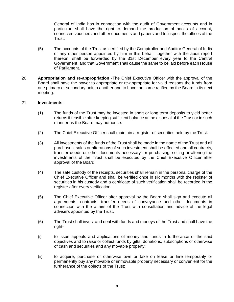General of India has in connection with the audit of Government accounts and in particular, shall have the right to demand the production of books of account, connected vouchers and other documents and papers and to inspect the offices of the Trust.

- (5) The accounts of the Trust as certified by the Comptroller and Auditor General of India or any other person appointed by him in this behalf, together with the audit report thereon, shall be forwarded by the 31st December every year to the Central Government, and that Government shall cause the same to be laid before each House of Parliament.
- 20. **Appropriation and re-appropriation** -The Chief Executive Officer with the approval of the Board shall have the power to appropriate or re-appropriate for valid reasons the funds from one primary or secondary unit to another and to have the same ratified by the Board in its next meeting.

#### 21. **Investments-**

- (1) The funds of the Trust may be invested in short or long term deposits to yield better returns if feasible after keeping sufficient balance at the disposal of the Trust or in such manner as the Board may authorise.
- (2) The Chief Executive Officer shall maintain a register of securities held by the Trust.
- (3) All investments of the funds of the Trust shall be made in the name of the Trust and all purchases, sales or alterations of such investment shall be effected and all contracts, transfer deeds or other documents necessary for purchasing, selling or altering the investments of the Trust shall be executed by the Chief Executive Officer after approval of the Board.
- (4) The safe custody of the receipts, securities shall remain in the personal charge of the Chief Executive Officer and shall be verified once in six months with the register of securities in his custody and a certificate of such verification shall be recorded in the register after every verification.
- (5) The Chief Executive Officer after approval by the Board shall sign and execute all agreements, contracts, transfer deeds of conveyance and other documents in connection with the affairs of the Trust with consultation and advice of the legal advisers appointed by the Trust.
- (6) The Trust shall invest and deal with funds and moneys of the Trust and shall have the right-
- (i) to issue appeals and applications of money and funds in furtherance of the said objectives and to raise or collect funds by gifts, donations, subscriptions or otherwise of cash and securities and any movable property;
- (ii) to acquire, purchase or otherwise own or take on lease or hire temporarily or permanently buy any movable or immovable property necessary or convenient for the furtherance of the objects of the Trust;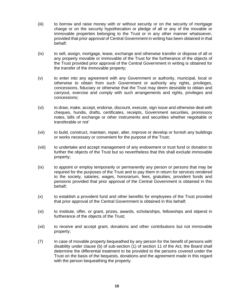- (iii) to borrow and raise money with or without security or on the security of mortgage charge or on the security hypothecation or pledge of all or any of the movable or immovable properties belonging to the Trust or in any other manner whatsoever, provided that prior approval of Central Government in writing has been obtained in that behalf;
- (iv) to sell, assign, mortgage, lease, exchange and otherwise transfer or dispose of all or any property movable or immovable of the Trust for the furtherance of the objects of the Trust provided prior approval of the Central Government in writing is obtained for the transfer of the immovable property;
- (v) to enter into any agreement with any Government or authority, municipal, local or otherwise to obtain from such Government or authority any rights, privileges, concessions, fiduciary or otherwise that the Trust may deem desirable to obtain and carryout, exercise and comply with such arrangements and rights, privileges and concessions;
- (vi) to draw, make, accept, endorse, discount, execute, sign issue and otherwise deal with cheques, hundis, drafts, certificates, receipts, Government securities, promissory notes, bills of exchange or other instruments and securities whether negotiable or transferable or not'
- (vii) to build, construct, maintain, repair, alter, improve or develop or furnish any buildings or works necessary or convenient for the purpose of the Trust;
- (viii) to undertake and accept management of any endowment or trust fund or donation to further the objects of the Trust but so nevertheless that this shall exclude immovable property;
- (ix) to appoint or employ temporarily or permanently any person or persons that may be required for the purposes of the Trust and to pay them in return for services rendered to the society, salaries, wages, honorarium, fees, gratuities, provident funds and pensions provided that prior approval of the Central Government is obtained in this behalf;
- (x) to establish a provident fund and other benefits for employees of the Trust provided that prior approval of the Central Government is obtained in this behalf;
- (xi) to institute, offer, or grant, prizes, awards, scholarships, fellowships and stipend in furtherance of the objects of the Trust;
- (xii) to receive and accept grant, donations and other contributions but not immovable property;
- (7) In case of movable property bequeathed by any person for the benefit of persons with disability under clause (b) of sub-section (1) of section 11 of the Act, the Board shall determine the differential treatment to be provided to the persons covered under the Trust on the basis of the bequests, donations and the agreement made in this regard with the person bequeathing the property.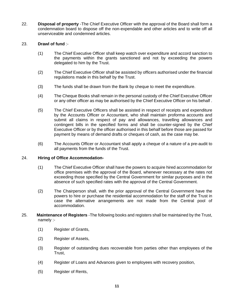22. **Disposal of property** -The Chief Executive Officer with the approval of the Board shall form a condemnation board to dispose off the non-expendable and other articles and to write off all unserviceable and condemned articles.

#### 23. **Drawl of fund** :-

- (1) The Chief Executive Officer shall keep watch over expenditure and accord sanction to the payments within the grants sanctioned and not by exceeding the powers delegated to him by the Trust.
- (2) The Chief Executive Officer shall be assisted by officers authorised under the financial regulations made in this behalf by the Trust.
- (3) The funds shall be drawn from the Bank by cheque to meet the expenditure.
- (4) The Cheque Books shall remain in the personal custody of the Chief Executive Officer or any other officer as may be authorised by the Chief Executive Officer on his behalf .
- (5) The Chief Executive Officers shall be assisted in respect of receipts and expenditure by the Accounts Officer or Accountant, who shall maintain proforma accounts and submit all claims in respect of pay and allowances, travelling allowances and contingent bills in the specified forms and shall be counter-signed by the Chief Executive Officer or by the officer authorised in this behalf before those are passed for payment by means of demand drafts or cheques of cash, as the case may be.
- (6) The Accounts Officer or Accountant shall apply a cheque of a nature of a pre-audit to all payments from the funds of the Trust.

#### 24. **Hiring of Office Accommodation-**

- (1) The Chief Executive Officer shall have the powers to acquire hired accommodation for office premises with the approval of the Board, whenever necessary at the rates not exceeding those specified by the Central Government for similar purposes and in the absence of such specified rates with the approval of the Central Government.
- (2) The Chairperson shall, with the prior approval of the Central Government have the powers to hire or purchase the residential accommodation for the staff of the Trust in case the alternative arrangements are not made from the Central pool of accommodation.
- 25. **Maintenance of Registers** -The following books and registers shall be maintained by the Trust, namely :-
	- (1) Register of Grants,
	- (2) Register of Assets,
	- (3) Register of outstanding dues recoverable from parties other than employees of the Trust,
	- (4) Register of Loans and Advances given to employees with recovery position,
	- (5) Register of Rents,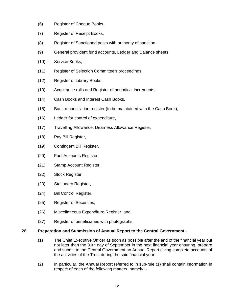- (6) Register of Cheque Books,
- (7) Register of Receipt Books,
- (8) Register of Sanctioned posts with authority of sanction,
- (9) General provident fund accounts, Ledger and Balance sheets,
- (10) Service Books,
- (11) Register of Selection Committee's proceedings,
- (12) Register of Library Books,
- (13) Acquitance rolls and Register of periodical increments,
- (14) Cash Books and Interest Cash Books,
- (15) Bank reconciliation register (to be maintained with the Cash Book),
- (16) Ledger for control of expenditure,
- (17) Travelling Allowance, Dearness Allowance Register,
- (18) Pay Bill Register,
- (19) Contingent Bill Register,
- (20) Fuel Accounts Register,
- (21) Stamp Account Register,
- (22) Stock Register,
- (23) Stationery Register,
- (24) Bill Control Register,
- (25) Register of Securities,
- (26) Miscellaneous Expenditure Register, and
- (27) Register of beneficiaries with photographs.

#### 26. **Preparation and Submission of Annual Report to the Central Government** -

- (1) The Chief Executive Officer as soon as possible after the end of the financial year but not later than the 30th day of September in the next financial year ensuring, prepare and submit to the Central Government an Annual Report giving complete accounts of the activities of the Trust during the said financial year.
- (2) In particular, the Annual Report referred to in sub-rule (1) shall contain information in respect of each of the following matters, namely :-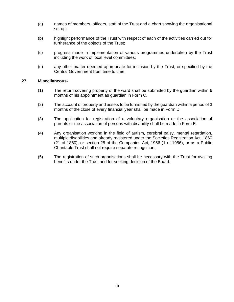- (a) names of members, officers, staff of the Trust and a chart showing the organisational set up;
- (b) highlight performance of the Trust with respect of each of the activities carried out for furtherance of the objects of the Trust;
- (c) progress made in implementation of various programmes undertaken by the Trust including the work of local level committees;
- (d) any other matter deemed appropriate for inclusion by the Trust, or specified by the Central Government from time to time.

#### 27. **Miscellaneous-**

- (1) The return covering property of the ward shall be submitted by the guardian within 6 months of his appointment as guardian in Form C.
- (2) The account of property and assets to be furnished by the guardian within a period of 3 months of the close of every financial year shall be made in Form D.
- (3) The application for registration of a voluntary organisation or the association of parents or the association of persons with disability shall be made in Form E.
- (4) Any organisation working in the field of autism, cerebral palsy, mental retardation, multiple disabilities and already registered under the Societies Registration Act, 1860 (21 of 1860), or section 25 of the Companies Act, 1956 (1 of 1956), or as a Public Charitable Trust shall not require separate recognition.
- (5) The registration of such organisations shall be necessary with the Trust for availing benefits under the Trust and for seeking decision of the Board.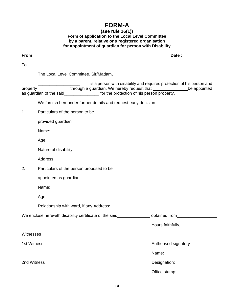## **FORM-A**

#### **(see rule 16(1)) Form of application to the Local Level Committee by a parent, relative or** a **registered organisation for appointment of guardian for person with Disability**

**From Date** :

To

The Local Level Committee. Sir/Madam,

is a person with disability and requires protection of his person and property through a guardian. We hereby request that the appointed as quardian of the said **the said** for the protection of his person property.

We furnish hereunder further details and request early decision :

1. Particulars of the person to be

provided guardian

Name:

Age:

Nature of disability:

Address:

2. Particulars of the person proposed to be

appointed as guardian

Name:

Age:

Relationship with ward, if any Address:

Name:

We enclose herewith disability certificate of the said\_\_\_\_\_\_\_\_\_\_\_\_\_\_\_\_ obtained from\_\_\_\_\_\_\_\_\_\_\_\_\_\_\_

Yours faithfully,

**Witnesses** 

1st Witness **Authorised signatory Authorised signatory** 

2nd Witness **Designation:** 

Office stamp: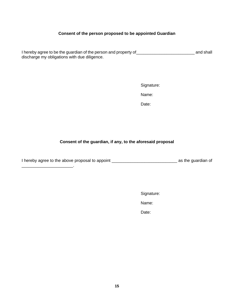#### **Consent of the person proposed to be appointed Guardian**

I hereby agree to be the guardian of the person and property of\_\_\_\_\_\_\_\_\_\_\_\_\_\_\_\_\_\_\_\_\_\_\_\_\_ and shall discharge my obligations with due diligence.

Signature:

Name:

des and the contract of the contract of the Date:

#### **Consent of the guardian, if any, to the aforesaid proposal**

I hereby agree to the above proposal to appoint \_\_\_\_\_\_\_\_\_\_\_\_\_\_\_\_\_\_\_\_\_\_\_\_\_\_\_\_ as the guardian of

\_\_\_\_\_\_\_\_\_\_\_\_\_\_\_\_\_\_\_\_\_\_.

Signature:

Name:

des and the contract of the contract of the Date: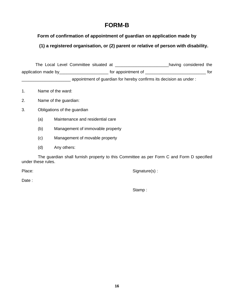## **FORM-B**

**Form of confirmation of appointment of guardian on application made by** 

**(1) a registered organisation, or (2) parent or relative of person with disability.**

 The Local Level Committee situated at \_\_\_\_\_\_\_\_\_\_\_\_\_\_\_\_\_\_\_\_\_\_\_having considered the application made by\_\_\_\_\_\_\_\_\_\_\_\_\_\_\_\_\_\_\_\_\_ for appointment of \_\_\_\_\_\_\_\_\_\_\_\_\_\_\_\_\_\_\_\_\_\_\_\_\_\_ for \_\_\_\_\_\_\_\_\_\_\_\_\_\_\_\_\_\_\_\_\_ appointment of guardian for hereby confirms its decision as under :

- 1. Name of the ward:
- 2. Name of the guardian:
- 3. Obligations of the guardian
	- (a) Maintenance and residential care
	- (b) Management of immovable property
	- (c) Management of movable property
	- (d) Any others:

The guardian shall furnish property to this Committee as per Form C and Form D specified under these rules.

Place: Signature(s) : Signature(s) :

Date :

Stamp :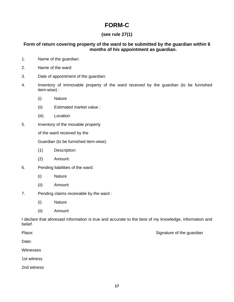## **FORM-C**

#### **(see rule 27(1)**

#### **Form of return covering property of the ward to be submitted by the guardian within 6 months of his appointment as guardian.**

- 1. Name of the guardian:
- 2. Name of the ward:
- 3. Date of appointment of the guardian:
- 4. Inventory of immovable property of the ward received by the guardian (to be furnished item-wise) :
	- (i) Nature
	- (ii) Estimated market value :
	- (iii) Location
- 5. Inventory of the movable property

of the ward received by the

Guardian (to be furnished item-wise):

- (1) Description:
- (2) Amount:
- 6. Pending liabilities of the ward:
	- (i) Nature
	- (ii) Amount
- 7. Pending claims receivable by the ward :
	- (i) Nature
	- (ii) Amount

I declare that aforesaid information is true and accurate to the best of my knowledge, information and belief.

Place: Signature of the guardian extensive property in the Signature of the guardian

Date:

Witnesses

1st witness

2nd witness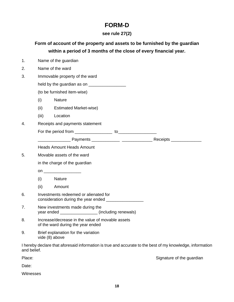## **FORM-D**

## **see rule 27(2)**

| Form of account of the property and assets to be furnished by the guardian |  |
|----------------------------------------------------------------------------|--|
| within a period of 3 months of the close of every financial year.          |  |

| 1.          | Name of the guardian                                                                           |                                                                                                           |  |  |
|-------------|------------------------------------------------------------------------------------------------|-----------------------------------------------------------------------------------------------------------|--|--|
| 2.          | Name of the ward                                                                               |                                                                                                           |  |  |
| 3.          | Immovable property of the ward                                                                 |                                                                                                           |  |  |
|             |                                                                                                |                                                                                                           |  |  |
|             |                                                                                                | (to be furnished item-wise)                                                                               |  |  |
|             | (i)                                                                                            | <b>Nature</b>                                                                                             |  |  |
|             | (ii)                                                                                           | <b>Estimated Market-wise)</b>                                                                             |  |  |
|             | (iii)                                                                                          | Location                                                                                                  |  |  |
| 4.          |                                                                                                | Receipts and payments statement                                                                           |  |  |
|             |                                                                                                |                                                                                                           |  |  |
|             |                                                                                                |                                                                                                           |  |  |
|             |                                                                                                | <b>Heads Amount Heads Amount</b>                                                                          |  |  |
| 5.          | Movable assets of the ward                                                                     |                                                                                                           |  |  |
|             | in the charge of the guardian                                                                  |                                                                                                           |  |  |
|             |                                                                                                |                                                                                                           |  |  |
|             | (i)                                                                                            | <b>Nature</b>                                                                                             |  |  |
|             | (ii)                                                                                           | Amount                                                                                                    |  |  |
| 6.          | Investments redeemed or alienated for<br>consideration during the year ended _________________ |                                                                                                           |  |  |
| 7.          | New investments made during the<br>year ended __________________ (including renewals)          |                                                                                                           |  |  |
| 8.          | Increase/decrease in the value of movable assets<br>of the ward during the year ended          |                                                                                                           |  |  |
| 9.          | Brief explanation for the variation<br>vide (8) above                                          |                                                                                                           |  |  |
| and belief. |                                                                                                | I hereby declare that aforesaid information is true and accurate to the best of my knowledge, information |  |  |

Place: Signature of the guardian extensive property of the guardian system of the guardian extensive property of the guardian system of the guardian extensive property of the guardian system of the guardian extensive prope

Date:

Witnesses